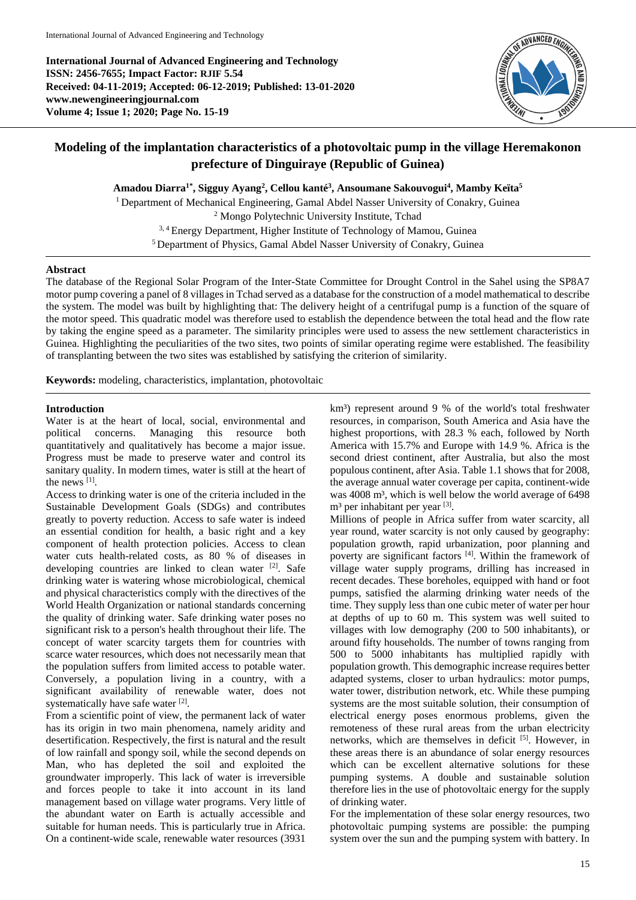**International Journal of Advanced Engineering and Technology ISSN: 2456-7655; Impact Factor: RJIF 5.54 Received: 04-11-2019; Accepted: 06-12-2019; Published: 13-01-2020 www.newengineeringjournal.com Volume 4; Issue 1; 2020; Page No. 15-19**



# **Modeling of the implantation characteristics of a photovoltaic pump in the village Heremakonon prefecture of Dinguiraye (Republic of Guinea)**

**Amadou Diarra1\*, Sigguy Ayang<sup>2</sup> , Cellou kanté<sup>3</sup> , Ansoumane Sakouvogui<sup>4</sup> , Mamby Keïta<sup>5</sup>** <sup>1</sup> Department of Mechanical Engineering, Gamal Abdel Nasser University of Conakry, Guinea

<sup>2</sup> Mongo Polytechnic University Institute, Tchad <sup>3, 4</sup> Energy Department, Higher Institute of Technology of Mamou, Guinea <sup>5</sup> Department of Physics, Gamal Abdel Nasser University of Conakry, Guinea

# **Abstract**

The database of the Regional Solar Program of the Inter-State Committee for Drought Control in the Sahel using the SP8A7 motor pump covering a panel of 8 villages in Tchad served as a database for the construction of a model mathematical to describe the system. The model was built by highlighting that: The delivery height of a centrifugal pump is a function of the square of the motor speed. This quadratic model was therefore used to establish the dependence between the total head and the flow rate by taking the engine speed as a parameter. The similarity principles were used to assess the new settlement characteristics in Guinea. Highlighting the peculiarities of the two sites, two points of similar operating regime were established. The feasibility of transplanting between the two sites was established by satisfying the criterion of similarity.

**Keywords:** modeling, characteristics, implantation, photovoltaic

# **Introduction**

Water is at the heart of local, social, environmental and political concerns. Managing this resource both quantitatively and qualitatively has become a major issue. Progress must be made to preserve water and control its sanitary quality. In modern times, water is still at the heart of the news [1] .

Access to drinking water is one of the criteria included in the Sustainable Development Goals (SDGs) and contributes greatly to poverty reduction. Access to safe water is indeed an essential condition for health, a basic right and a key component of health protection policies. Access to clean water cuts health-related costs, as 80 % of diseases in developing countries are linked to clean water [2]. Safe drinking water is watering whose microbiological, chemical and physical characteristics comply with the directives of the World Health Organization or national standards concerning the quality of drinking water. Safe drinking water poses no significant risk to a person's health throughout their life. The concept of water scarcity targets them for countries with scarce water resources, which does not necessarily mean that the population suffers from limited access to potable water. Conversely, a population living in a country, with a significant availability of renewable water, does not systematically have safe water [2].

From a scientific point of view, the permanent lack of water has its origin in two main phenomena, namely aridity and desertification. Respectively, the first is natural and the result of low rainfall and spongy soil, while the second depends on Man, who has depleted the soil and exploited the groundwater improperly. This lack of water is irreversible and forces people to take it into account in its land management based on village water programs. Very little of the abundant water on Earth is actually accessible and suitable for human needs. This is particularly true in Africa. On a continent-wide scale, renewable water resources (3931

km<sup>3</sup>) represent around 9 % of the world's total freshwater resources, in comparison, South America and Asia have the highest proportions, with 28.3 % each, followed by North America with 15.7% and Europe with 14.9 %. Africa is the second driest continent, after Australia, but also the most populous continent, after Asia. Table 1.1 shows that for 2008, the average annual water coverage per capita, continent-wide was 4008 m<sup>3</sup>, which is well below the world average of 6498 m<sup>3</sup> per inhabitant per year [3].

Millions of people in Africa suffer from water scarcity, all year round, water scarcity is not only caused by geography: population growth, rapid urbanization, poor planning and poverty are significant factors [4]. Within the framework of village water supply programs, drilling has increased in recent decades. These boreholes, equipped with hand or foot pumps, satisfied the alarming drinking water needs of the time. They supply less than one cubic meter of water per hour at depths of up to 60 m. This system was well suited to villages with low demography (200 to 500 inhabitants), or around fifty households. The number of towns ranging from 500 to 5000 inhabitants has multiplied rapidly with population growth. This demographic increase requires better adapted systems, closer to urban hydraulics: motor pumps, water tower, distribution network, etc. While these pumping systems are the most suitable solution, their consumption of electrical energy poses enormous problems, given the remoteness of these rural areas from the urban electricity networks, which are themselves in deficit [5]. However, in these areas there is an abundance of solar energy resources which can be excellent alternative solutions for these pumping systems. A double and sustainable solution therefore lies in the use of photovoltaic energy for the supply of drinking water.

For the implementation of these solar energy resources, two photovoltaic pumping systems are possible: the pumping system over the sun and the pumping system with battery. In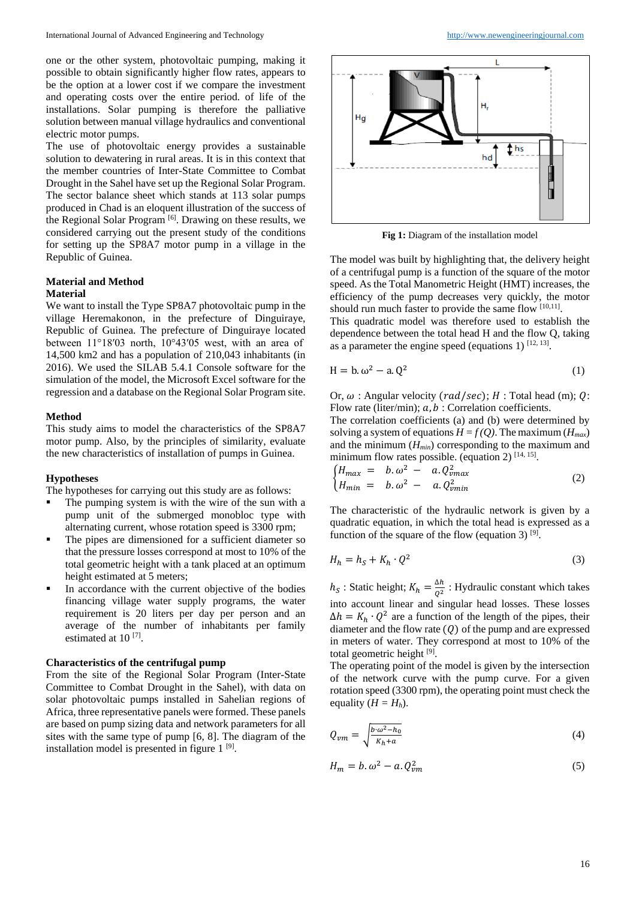one or the other system, photovoltaic pumping, making it possible to obtain significantly higher flow rates, appears to be the option at a lower cost if we compare the investment and operating costs over the entire period. of life of the installations. Solar pumping is therefore the palliative solution between manual village hydraulics and conventional electric motor pumps.

The use of photovoltaic energy provides a sustainable solution to dewatering in rural areas. It is in this context that the member countries of Inter-State Committee to Combat Drought in the Sahel have set up the Regional Solar Program. The sector balance sheet which stands at 113 solar pumps produced in Chad is an eloquent illustration of the success of the Regional Solar Program [6]. Drawing on these results, we considered carrying out the present study of the conditions for setting up the SP8A7 motor pump in a village in the Republic of Guinea.

#### **Material and Method Material**

We want to install the Type SP8A7 photovoltaic pump in the village Heremakonon, in the prefecture of Dinguiraye, Republic of Guinea. The prefecture of Dinguiraye located between 11°18′03 north, 10°43′05 west, with an area of 14,500 km2 and has a population of 210,043 inhabitants (in 2016). We used the SILAB 5.4.1 Console software for the simulation of the model, the Microsoft Excel software for the regression and a database on the Regional Solar Program site.

## **Method**

This study aims to model the characteristics of the SP8A7 motor pump. Also, by the principles of similarity, evaluate the new characteristics of installation of pumps in Guinea.

#### **Hypotheses**

The hypotheses for carrying out this study are as follows:

- The pumping system is with the wire of the sun with a pump unit of the submerged monobloc type with alternating current, whose rotation speed is 3300 rpm;
- The pipes are dimensioned for a sufficient diameter so that the pressure losses correspond at most to 10% of the total geometric height with a tank placed at an optimum height estimated at 5 meters;
- In accordance with the current objective of the bodies financing village water supply programs, the water requirement is 20 liters per day per person and an average of the number of inhabitants per family estimated at 10<sup>[7]</sup>.

#### **Characteristics of the centrifugal pump**

From the site of the Regional Solar Program (Inter-State Committee to Combat Drought in the Sahel), with data on solar photovoltaic pumps installed in Sahelian regions of Africa, three representative panels were formed. These panels are based on pump sizing data and network parameters for all sites with the same type of pump [6, 8]. The diagram of the installation model is presented in figure 1<sup>[9]</sup>.



**Fig 1:** Diagram of the installation model

The model was built by highlighting that, the delivery height of a centrifugal pump is a function of the square of the motor speed. As the Total Manometric Height (HMT) increases, the efficiency of the pump decreases very quickly, the motor should run much faster to provide the same flow  $[10,11]$ .

This quadratic model was therefore used to establish the dependence between the total head H and the flow Q, taking as a parameter the engine speed (equations 1)  $^{[12, 13]}$ .

$$
H = b \cdot \omega^2 - a \cdot Q^2 \tag{1}
$$

Or,  $\omega$ : Angular velocity (*rad*/sec); *H* : Total head (m); *O*: Flow rate (liter/min);  $a, b$ : Correlation coefficients.

The correlation coefficients (a) and (b) were determined by solving a system of equations  $H = f(Q)$ . The maximum ( $H_{max}$ ) and the minimum (*Hmin*) corresponding to the maximum and minimum flow rates possible. (equation 2)  $[14, 15]$ .

$$
\begin{cases}\nH_{max} = b.\omega^2 - a.Q_{vmax}^2 \\
H_{min} = b.\omega^2 - a.Q_{vmin}^2\n\end{cases}
$$
\n(2)

The characteristic of the hydraulic network is given by a quadratic equation, in which the total head is expressed as a function of the square of the flow (equation 3)  $[9]$ .

$$
H_h = h_S + K_h \cdot Q^2 \tag{3}
$$

 $h_S$ : Static height;  $K_h = \frac{\Delta h}{\Delta^2}$  $\frac{\Delta h}{Q^2}$ : Hydraulic constant which takes into account linear and singular head losses. These losses  $\Delta h = K_h \cdot Q^2$  are a function of the length of the pipes, their diameter and the flow rate  $(Q)$  of the pump and are expressed in meters of water. They correspond at most to 10% of the total geometric height [9].

The operating point of the model is given by the intersection of the network curve with the pump curve. For a given rotation speed (3300 rpm), the operating point must check the equality  $(H = H_h)$ .

$$
Q_{vm} = \sqrt{\frac{b \cdot \omega^2 - h_0}{K_h + a}}
$$
(4)

$$
H_m = b \cdot \omega^2 - a \cdot Q_{vm}^2 \tag{5}
$$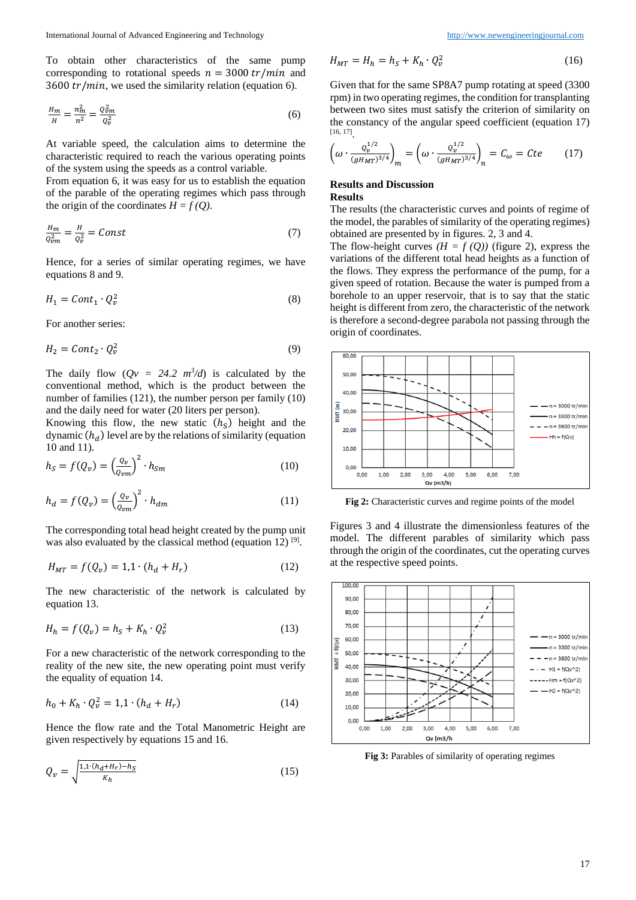To obtain other characteristics of the same pump corresponding to rotational speeds  $n = 3000 \, tr/min$  and 3600  $tr/min$ , we used the similarity relation (equation 6).

$$
\frac{H_m}{H} = \frac{n_m^2}{n^2} = \frac{Q_{\nu m}^2}{Q_{\nu}^2} \tag{6}
$$

At variable speed, the calculation aims to determine the characteristic required to reach the various operating points of the system using the speeds as a control variable.

From equation 6, it was easy for us to establish the equation of the parable of the operating regimes which pass through the origin of the coordinates  $H = f(Q)$ .

$$
\frac{H_m}{Q_{vm}^2} = \frac{H}{Q_v^2} = Const
$$
\n(7)

Hence, for a series of similar operating regimes, we have equations 8 and 9.

$$
H_1 = Cont_1 \cdot Q_v^2 \tag{8}
$$

For another series:

$$
H_2 = Cont_2 \cdot Q_v^2 \tag{9}
$$

The daily flow  $(Qv = 24.2 \ m^3/d)$  is calculated by the conventional method, which is the product between the number of families (121), the number person per family (10) and the daily need for water (20 liters per person).

Knowing this flow, the new static  $(h<sub>S</sub>)$  height and the dynamic  $(h_d)$  level are by the relations of similarity (equation 10 and 11).

$$
h_S = f(Q_v) = \left(\frac{Q_v}{Q_{vm}}\right)^2 \cdot h_{Sm}
$$
\n(10)

$$
h_d = f(Q_v) = \left(\frac{Q_v}{Q_{vm}}\right)^2 \cdot h_{dm} \tag{11}
$$

The corresponding total head height created by the pump unit was also evaluated by the classical method (equation 12)<sup>[9]</sup>.

$$
H_{MT} = f(Q_v) = 1.1 \cdot (h_d + H_r)
$$
 (12)

The new characteristic of the network is calculated by equation 13.

$$
H_h = f(Q_v) = h_S + K_h \cdot Q_v^2 \tag{13}
$$

For a new characteristic of the network corresponding to the reality of the new site, the new operating point must verify the equality of equation 14.

$$
h_0 + K_h \cdot Q_v^2 = 1.1 \cdot (h_d + H_r) \tag{14}
$$

Hence the flow rate and the Total Manometric Height are given respectively by equations 15 and 16.

$$
Q_{\nu} = \sqrt{\frac{1, 1 \cdot (h_d + H_r) - h_S}{K_h}}
$$
(15)

$$
H_{MT} = H_h = h_S + K_h \cdot Q_v^2 \tag{16}
$$

Given that for the same SP8A7 pump rotating at speed (3300 rpm) in two operating regimes, the condition for transplanting between two sites must satisfy the criterion of similarity on the constancy of the angular speed coefficient (equation 17) [16, 17] .

$$
\left(\omega \cdot \frac{Q_v^{1/2}}{(gH_{MT})^{3/4}}\right)_m = \left(\omega \cdot \frac{Q_v^{1/2}}{(gH_{MT})^{3/4}}\right)_n = C_\omega = Cte \tag{17}
$$

# **Results and Discussion Results**

The results (the characteristic curves and points of regime of the model, the parables of similarity of the operating regimes) obtained are presented by in figures. 2, 3 and 4.

The flow-height curves  $(H = f(Q))$  (figure 2), express the variations of the different total head heights as a function of the flows. They express the performance of the pump, for a given speed of rotation. Because the water is pumped from a borehole to an upper reservoir, that is to say that the static height is different from zero, the characteristic of the network is therefore a second-degree parabola not passing through the origin of coordinates.



**Fig 2:** Characteristic curves and regime points of the model

Figures 3 and 4 illustrate the dimensionless features of the model. The different parables of similarity which pass through the origin of the coordinates, cut the operating curves at the respective speed points.



**Fig 3:** Parables of similarity of operating regimes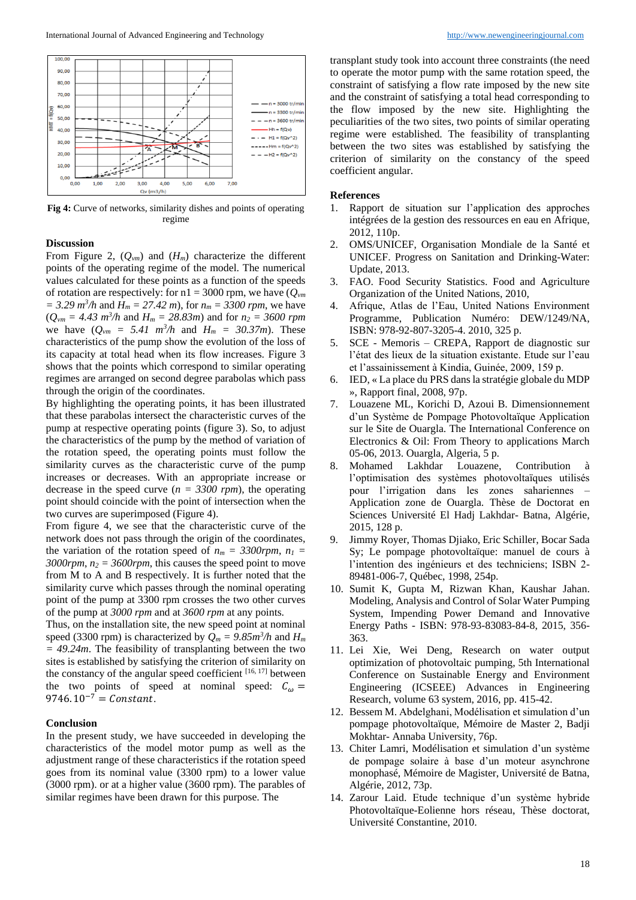

**Fig 4:** Curve of networks, similarity dishes and points of operating regime

## **Discussion**

From Figure 2,  $(Q_{vm})$  and  $(H_m)$  characterize the different points of the operating regime of the model. The numerical values calculated for these points as a function of the speeds of rotation are respectively: for  $n1 = 3000$  rpm, we have  $(Q_{vm})$  $= 3.29 \frac{m^3}{h}$  and  $H_m = 27.42 \frac{m}{h}$ , for  $n_m = 3300 \frac{rpm}{h}$ , we have  $(Q_{\nu m} = 4.43 \, m^3/h$  and  $H_m = 28.83m$ ) and for  $n_2 = 3600 \, rpm$ we have  $(Q_{vm} = 5.41 \, m^3/h$  and  $H_m = 30.37m$ ). These characteristics of the pump show the evolution of the loss of its capacity at total head when its flow increases. Figure 3 shows that the points which correspond to similar operating regimes are arranged on second degree parabolas which pass through the origin of the coordinates.

By highlighting the operating points, it has been illustrated that these parabolas intersect the characteristic curves of the pump at respective operating points (figure 3). So, to adjust the characteristics of the pump by the method of variation of the rotation speed, the operating points must follow the similarity curves as the characteristic curve of the pump increases or decreases. With an appropriate increase or decrease in the speed curve  $(n = 3300$  rpm), the operating point should coincide with the point of intersection when the two curves are superimposed (Figure 4).

From figure 4, we see that the characteristic curve of the network does not pass through the origin of the coordinates, the variation of the rotation speed of  $n_m = 3300$ rpm,  $n_1 =$  $3000$ *rpm*,  $n_2 = 3600$ *rpm*, this causes the speed point to move from M to A and B respectively. It is further noted that the similarity curve which passes through the nominal operating point of the pump at 3300 rpm crosses the two other curves of the pump at *3000 rpm* and at *3600 rpm* at any points.

Thus, on the installation site, the new speed point at nominal speed (3300 rpm) is characterized by  $Q_m = 9.85m^3/h$  and  $H_m$ *= 49.24m*. The feasibility of transplanting between the two sites is established by satisfying the criterion of similarity on the constancy of the angular speed coefficient [16, 17] between the two points of speed at nominal speed:  $C_{\omega}$  = 9746. $10^{-7}$  = Constant.

### **Conclusion**

In the present study, we have succeeded in developing the characteristics of the model motor pump as well as the adjustment range of these characteristics if the rotation speed goes from its nominal value (3300 rpm) to a lower value (3000 rpm). or at a higher value (3600 rpm). The parables of similar regimes have been drawn for this purpose. The

transplant study took into account three constraints (the need to operate the motor pump with the same rotation speed, the constraint of satisfying a flow rate imposed by the new site and the constraint of satisfying a total head corresponding to the flow imposed by the new site. Highlighting the peculiarities of the two sites, two points of similar operating regime were established. The feasibility of transplanting between the two sites was established by satisfying the criterion of similarity on the constancy of the speed coefficient angular.

#### **References**

- 1. Rapport de situation sur l'application des approches intégrées de la gestion des ressources en eau en Afrique, 2012, 110p.
- 2. OMS/UNICEF, Organisation Mondiale de la Santé et UNICEF. Progress on Sanitation and Drinking-Water: Update, 2013.
- 3. FAO. Food Security Statistics. Food and Agriculture Organization of the United Nations, 2010,
- 4. Afrique, Atlas de l'Eau, United Nations Environment Programme, Publication Numéro: DEW/1249/NA, ISBN: 978-92-807-3205-4. 2010, 325 p.
- 5. SCE Memoris CREPA, Rapport de diagnostic sur l'état des lieux de la situation existante. Etude sur l'eau et l'assainissement à Kindia, Guinée, 2009, 159 p.
- 6. IED, « La place du PRS dans la stratégie globale du MDP », Rapport final, 2008, 97p.
- 7. Louazene ML, Korichi D, Azoui B. Dimensionnement d'un Système de Pompage Photovoltaïque Application sur le Site de Ouargla. The International Conference on Electronics & Oil: From Theory to applications March 05-06, 2013. Ouargla, Algeria, 5 p.
- 8. Mohamed Lakhdar Louazene, Contribution à l'optimisation des systèmes photovoltaïques utilisés pour l'irrigation dans les zones sahariennes – Application zone de Ouargla. Thèse de Doctorat en Sciences Université El Hadj Lakhdar- Batna, Algérie, 2015, 128 p.
- 9. Jimmy Royer, Thomas Djiako, Eric Schiller, Bocar Sada Sy; Le pompage photovoltaïque: manuel de cours à l'intention des ingénieurs et des techniciens; ISBN 2- 89481-006-7, Québec, 1998, 254p.
- 10. Sumit K, Gupta M, Rizwan Khan, Kaushar Jahan. Modeling, Analysis and Control of Solar Water Pumping System, Impending Power Demand and Innovative Energy Paths - ISBN: 978-93-83083-84-8, 2015, 356- 363.
- 11. Lei Xie, Wei Deng, Research on water output optimization of photovoltaic pumping, 5th International Conference on Sustainable Energy and Environment Engineering (ICSEEE) Advances in Engineering Research, volume 63 system, 2016, pp. 415-42.
- 12. Bessem M. Abdelghani, Modélisation et simulation d'un pompage photovoltaïque, Mémoire de Master 2, Badji Mokhtar- Annaba University, 76p.
- 13. Chiter Lamri, Modélisation et simulation d'un système de pompage solaire à base d'un moteur asynchrone monophasé, Mémoire de Magister, Université de Batna, Algérie, 2012, 73p.
- 14. Zarour Laid. Etude technique d'un système hybride Photovoltaïque-Eolienne hors réseau, Thèse doctorat, Université Constantine, 2010.